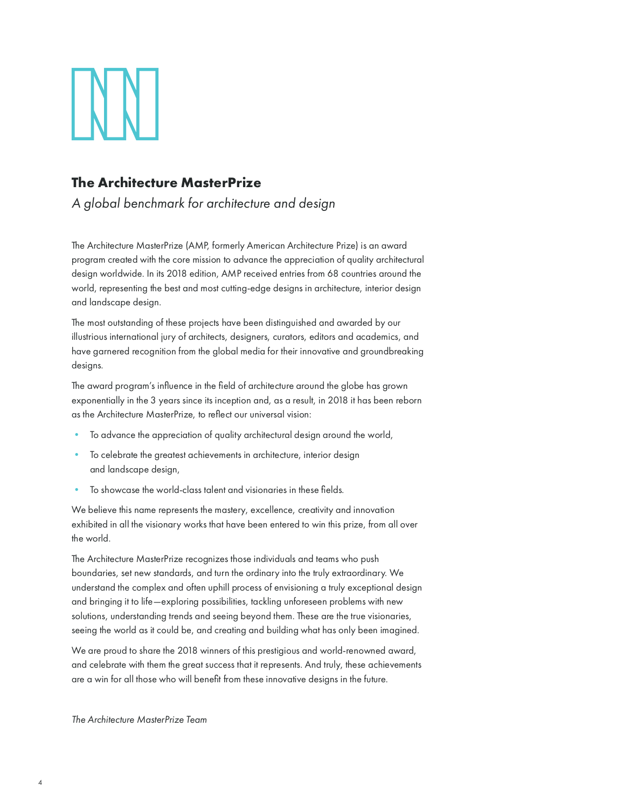## INN

## The Architecture MasterPrize

A global benchmark for architecture and design

The Architecture MasterPrize (AMP, formerly American Architecture Prize) is an award program created with the core mission to advance the appreciation of quality architectural design worldwide. In its 2018 edition, AMP received entries from 68 countries around the world, representing the best and most cutting-edge designs in architecture, interior design and landscape design.

The most outstanding of these projects have been distinguished and awarded by our illustrious international jury of architects, designers, curators, editors and academics, and have garnered recognition from the global media for their innovative and groundbreaking designs.

The award program's influence in the field of architecture around the globe has grown exponentially in the 3 years since its inception and, as a result, in 2018 it has been reborn as the Architecture MasterPrize, to reflect our universal vision:

- To advance the appreciation of quality architectural design around the world,
- To celebrate the greatest achievements in architecture, interior design and landscape design,
- To showcase the world-class talent and visionaries in these fields.

We believe this name represents the mastery, excellence, creativity and innovation exhibited in all the visionary works that have been entered to win this prize, from all over the world.

The Architecture MasterPrize recognizes those individuals and teams who push boundaries, set new standards, and turn the ordinary into the truly extraordinary. We understand the complex and often uphill process of envisioning a truly exceptional design and bringing it to life—exploring possibilities, tackling unforeseen problems with new solutions, understanding trends and seeing beyond them. These are the true visionaries, seeing the world as it could be, and creating and building what has only been imagined.

We are proud to share the 2018 winners of this prestigious and world-renowned award, and celebrate with them the great success that it represents. And truly, these achievements are a win for all those who will benefit from these innovative designs in the future.

The Architecture MasterPrize Team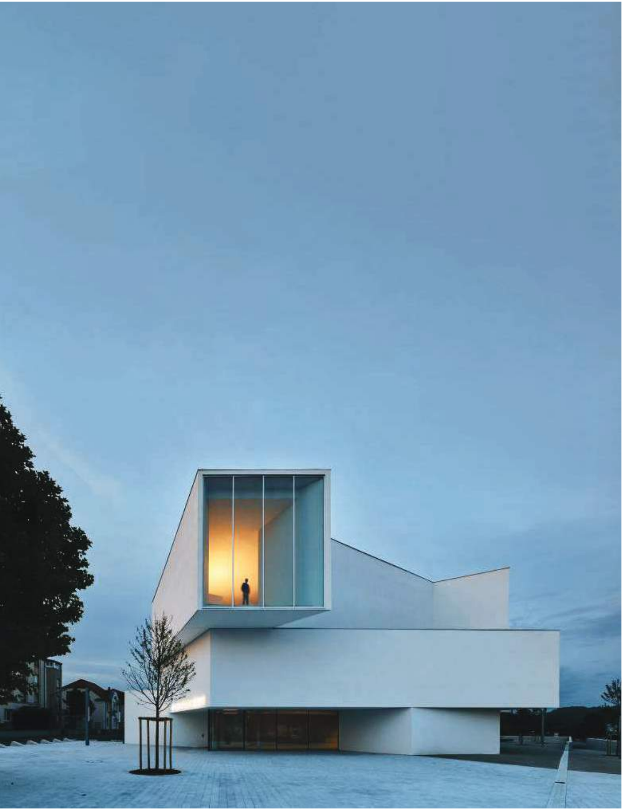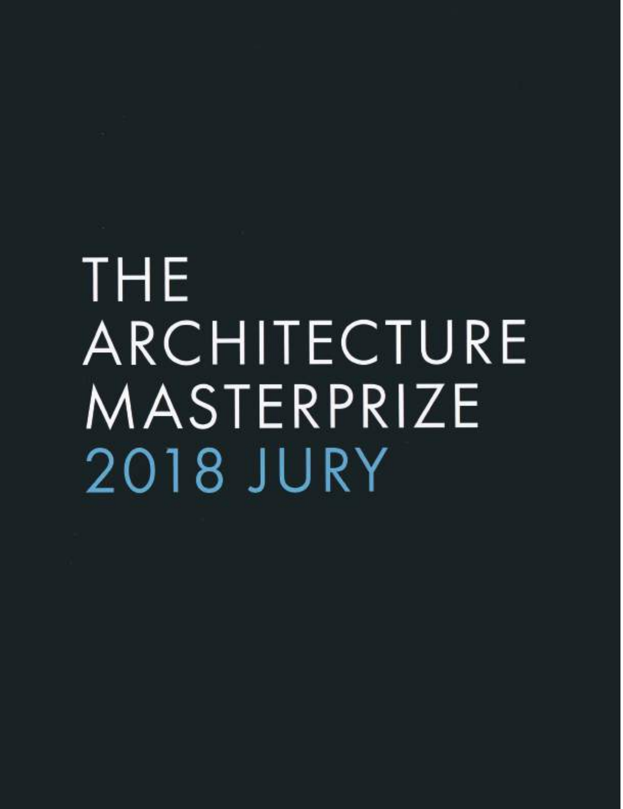## THE ARCHITECTURE MASTERPRIZE 2018 JURY